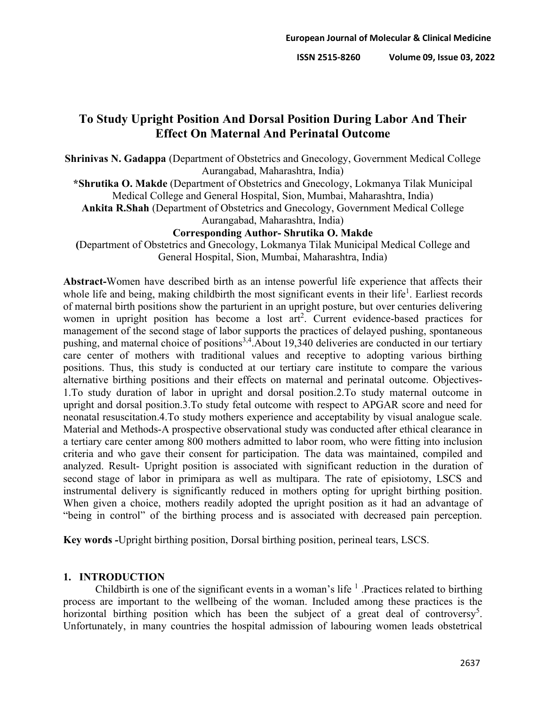# **To Study Upright Position And Dorsal Position During Labor And Their Effect On Maternal And Perinatal Outcome**

**Shrinivas N. Gadappa** (Department of Obstetrics and Gnecology, Government Medical College Aurangabad, Maharashtra, India)

**\*Shrutika O. Makde** (Department of Obstetrics and Gnecology, Lokmanya Tilak Municipal Medical College and General Hospital, Sion, Mumbai, Maharashtra, India) **Ankita R.Shah** (Department of Obstetrics and Gnecology, Government Medical College

Aurangabad, Maharashtra, India)

### **Corresponding Author- Shrutika O. Makde**

**(**Department of Obstetrics and Gnecology, Lokmanya Tilak Municipal Medical College and General Hospital, Sion, Mumbai, Maharashtra, India)

**Abstract-**Women have described birth as an intense powerful life experience that affects their whole life and being, making childbirth the most significant events in their life<sup>1</sup>. Earliest records of maternal birth positions show the parturient in an upright posture, but over centuries delivering women in upright position has become a lost  $art^2$ . Current evidence-based practices for management of the second stage of labor supports the practices of delayed pushing, spontaneous pushing, and maternal choice of positions<sup>3,4</sup>. About 19,340 deliveries are conducted in our tertiary care center of mothers with traditional values and receptive to adopting various birthing positions. Thus, this study is conducted at our tertiary care institute to compare the various alternative birthing positions and their effects on maternal and perinatal outcome. Objectives-1.To study duration of labor in upright and dorsal position.2.To study maternal outcome in upright and dorsal position.3.To study fetal outcome with respect to APGAR score and need for neonatal resuscitation.4.To study mothers experience and acceptability by visual analogue scale. Material and Methods-A prospective observational study was conducted after ethical clearance in a tertiary care center among 800 mothers admitted to labor room, who were fitting into inclusion criteria and who gave their consent for participation. The data was maintained, compiled and analyzed. Result- Upright position is associated with significant reduction in the duration of second stage of labor in primipara as well as multipara. The rate of episiotomy, LSCS and instrumental delivery is significantly reduced in mothers opting for upright birthing position. When given a choice, mothers readily adopted the upright position as it had an advantage of "being in control" of the birthing process and is associated with decreased pain perception.

**Key words** *-*Upright birthing position, Dorsal birthing position, perineal tears, LSCS.

# **1. INTRODUCTION**

Childbirth is one of the significant events in a woman's life  $<sup>1</sup>$ . Practices related to birthing</sup> process are important to the wellbeing of the woman. Included among these practices is the horizontal birthing position which has been the subject of a great deal of controversy<sup>5</sup>. Unfortunately, in many countries the hospital admission of labouring women leads obstetrical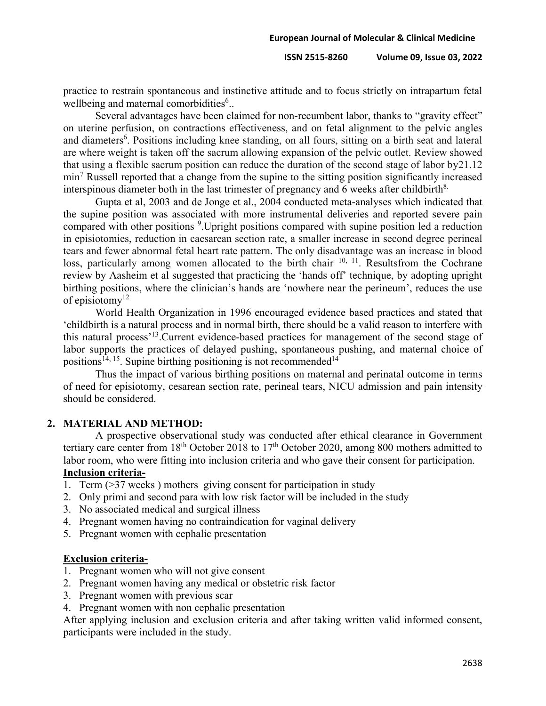**ISSN 2515-8260 Volume 09, Issue 03, 2022**

practice to restrain spontaneous and instinctive attitude and to focus strictly on intrapartum fetal wellbeing and maternal comorbidities<sup>6</sup>..

Several advantages have been claimed for non-recumbent labor, thanks to "gravity effect" on uterine perfusion, on contractions effectiveness, and on fetal alignment to the pelvic angles and diameters<sup>6</sup>. Positions including knee standing, on all fours, sitting on a birth seat and lateral are where weight is taken off the sacrum allowing expansion of the pelvic outlet. Review showed that using a flexible sacrum position can reduce the duration of the second stage of labor by21.12  $min<sup>7</sup>$  Russell reported that a change from the supine to the sitting position significantly increased interspinous diameter both in the last trimester of pregnancy and 6 weeks after childbirth $8$ .

Gupta et al, 2003 and de Jonge et al., 2004 conducted meta-analyses which indicated that the supine position was associated with more instrumental deliveries and reported severe pain compared with other positions <sup>9</sup>. Upright positions compared with supine position led a reduction in episiotomies, reduction in caesarean section rate, a smaller increase in second degree perineal tears and fewer abnormal fetal heart rate pattern. The only disadvantage was an increase in blood loss, particularly among women allocated to the birth chair <sup>10, 11</sup>. Resultsfrom the Cochrane review by Aasheim et al suggested that practicing the 'hands off' technique, by adopting upright birthing positions, where the clinician's hands are 'nowhere near the perineum', reduces the use of episiotomy<sup>12</sup>

World Health Organization in 1996 encouraged evidence based practices and stated that 'childbirth is a natural process and in normal birth, there should be a valid reason to interfere with this natural process'13.Current evidence-based practices for management of the second stage of labor supports the practices of delayed pushing, spontaneous pushing, and maternal choice of positions<sup>14, 15</sup>. Supine birthing positioning is not recommended<sup>14</sup>

Thus the impact of various birthing positions on maternal and perinatal outcome in terms of need for episiotomy, cesarean section rate, perineal tears, NICU admission and pain intensity should be considered.

#### **2. MATERIAL AND METHOD:**

A prospective observational study was conducted after ethical clearance in Government tertiary care center from 18<sup>th</sup> October 2018 to 17<sup>th</sup> October 2020, among 800 mothers admitted to labor room, who were fitting into inclusion criteria and who gave their consent for participation. **Inclusion criteria-**

- 
- 1. Term (>37 weeks ) mothers giving consent for participation in study
- 2. Only primi and second para with low risk factor will be included in the study
- 3. No associated medical and surgical illness
- 4. Pregnant women having no contraindication for vaginal delivery
- 5. Pregnant women with cephalic presentation

### **Exclusion criteria-**

- 1. Pregnant women who will not give consent
- 2. Pregnant women having any medical or obstetric risk factor
- 3. Pregnant women with previous scar
- 4. Pregnant women with non cephalic presentation

After applying inclusion and exclusion criteria and after taking written valid informed consent, participants were included in the study.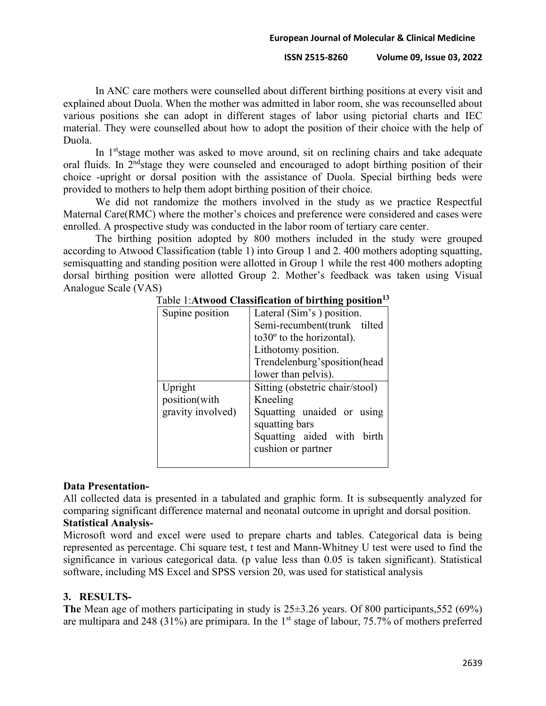#### **ISSN 2515-8260 Volume 09, Issue 03, 2022**

In ANC care mothers were counselled about different birthing positions at every visit and explained about Duola. When the mother was admitted in labor room, she was recounselled about various positions she can adopt in different stages of labor using pictorial charts and IEC material. They were counselled about how to adopt the position of their choice with the help of Duola.

In 1<sup>st</sup> stage mother was asked to move around, sit on reclining chairs and take adequate oral fluids. In  $2<sup>nd</sup>$ stage they were counseled and encouraged to adopt birthing position of their choice -upright or dorsal position with the assistance of Duola. Special birthing beds were provided to mothers to help them adopt birthing position of their choice.

We did not randomize the mothers involved in the study as we practice Respectful Maternal Care(RMC) where the mother's choices and preference were considered and cases were enrolled. A prospective study was conducted in the labor room of tertiary care center.

The birthing position adopted by 800 mothers included in the study were grouped according to Atwood Classification (table 1) into Group 1 and 2. 400 mothers adopting squatting, semisquatting and standing position were allotted in Group 1 while the rest 400 mothers adopting dorsal birthing position were allotted Group 2. Mother's feedback was taken using Visual Analogue Scale (VAS)

| Supine position   | Lateral (Sim's) position.           |
|-------------------|-------------------------------------|
|                   | Semi-recumbent(trunk tilted         |
|                   | $to 30^{\circ}$ to the horizontal). |
|                   | Lithotomy position.                 |
|                   | Trendelenburg'sposition(head        |
|                   | lower than pelvis).                 |
| Upright           | Sitting (obstetric chair/stool)     |
| position(with     | Kneeling                            |
| gravity involved) | Squatting unaided or using          |
|                   | squatting bars                      |
|                   | Squatting aided with birth          |
|                   | cushion or partner                  |
|                   |                                     |

Table 1:**Atwood Classification of birthing position13**

# **Data Presentation-**

All collected data is presented in a tabulated and graphic form. It is subsequently analyzed for comparing significant difference maternal and neonatal outcome in upright and dorsal position.

# **Statistical Analysis-**

Microsoft word and excel were used to prepare charts and tables. Categorical data is being represented as percentage. Chi square test, t test and Mann-Whitney U test were used to find the significance in various categorical data. (p value less than 0.05 is taken significant). Statistical software, including MS Excel and SPSS version 20, was used for statistical analysis

# **3. RESULTS-**

**The** Mean age of mothers participating in study is 25±3.26 years. Of 800 participants,552 (69%) are multipara and 248 (31%) are primipara. In the  $1<sup>st</sup>$  stage of labour, 75.7% of mothers preferred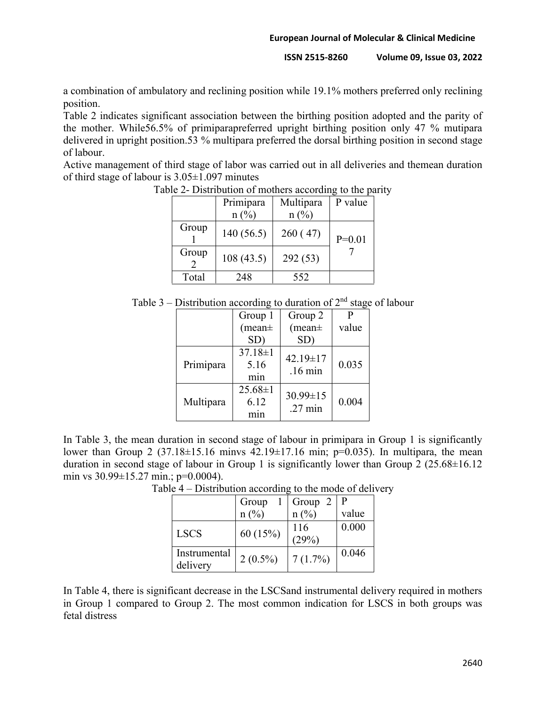**ISSN 2515-8260 Volume 09, Issue 03, 2022**

a combination of ambulatory and reclining position while 19.1% mothers preferred only reclining position.

Table 2 indicates significant association between the birthing position adopted and the parity of the mother. While56.5% of primiparapreferred upright birthing position only 47 % mutipara delivered in upright position.53 % multipara preferred the dorsal birthing position in second stage of labour.

Active management of third stage of labor was carried out in all deliveries and themean duration of third stage of labour is 3.05±1.097 minutes

|       | Primipara | Multipara | P value  |
|-------|-----------|-----------|----------|
|       | $n$ (%)   | $n$ (%)   |          |
| Group | 140(56.5) | 260(47)   | $P=0.01$ |
| Group | 108(43.5) | 292 (53)  |          |
| Total | 248       | 552       |          |

Table 2- Distribution of mothers according to the parity

| Table 3 – Distribution according to duration of $2nd$ stage of labour |  |  |  |
|-----------------------------------------------------------------------|--|--|--|
|                                                                       |  |  |  |

|           | Group 1                      | Group 2                             | P     |
|-----------|------------------------------|-------------------------------------|-------|
|           | $(mean \pm)$                 | $(mean \pm)$                        | value |
|           | SD)                          | SD)                                 |       |
| Primipara | $37.18 \pm 1$<br>5.16<br>min | $42.19 \pm 17$<br>$.16 \text{ min}$ | 0.035 |
| Multipara | $25.68 \pm 1$<br>6.12        | $30.99 \pm 15$<br>$.27 \text{ min}$ | 0.004 |

In Table 3, the mean duration in second stage of labour in primipara in Group 1 is significantly lower than Group 2 (37.18 $\pm$ 15.16 minvs 42.19 $\pm$ 17.16 min; p=0.035). In multipara, the mean duration in second stage of labour in Group 1 is significantly lower than Group 2  $(25.68\pm16.12)$ min vs 30.99±15.27 min.; p=0.0004).

|                          | Group      | Group 2      | l P   |
|--------------------------|------------|--------------|-------|
|                          | n (%)      | $n(\%)$      | value |
| <b>LSCS</b>              | 60 (15%)   | 116<br>(29%) | 0.000 |
| Instrumental<br>delivery | $2(0.5\%)$ | 7(1.7%)      | 0.046 |

Table 4 – Distribution according to the mode of delivery

In Table 4, there is significant decrease in the LSCSand instrumental delivery required in mothers in Group 1 compared to Group 2. The most common indication for LSCS in both groups was fetal distress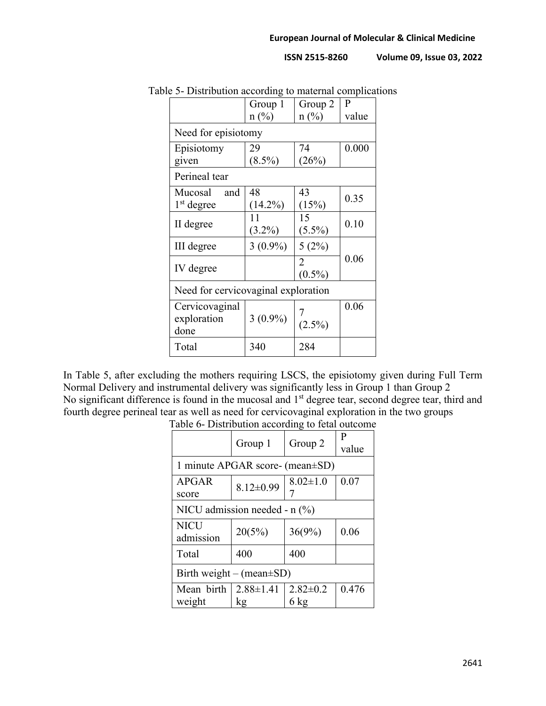**ISSN 2515-8260 Volume 09, Issue 03, 2022**

| $\epsilon$ )- Distribution according to maternal complication |                |                |       |  |
|---------------------------------------------------------------|----------------|----------------|-------|--|
|                                                               | Group 1        | Group 2        | P     |  |
|                                                               | $n(^{0}/_{0})$ | $n(^{0}/_{0})$ | value |  |
| Need for episiotomy                                           |                |                |       |  |
| Episiotomy                                                    | 29             | 74             | 0.000 |  |
| given                                                         | $(8.5\%)$      | (26%)          |       |  |
| Perineal tear                                                 |                |                |       |  |
| Mucosal<br>and                                                | 48             | 43             |       |  |
| $1st$ degree                                                  | $(14.2\%)$     | (15%)          | 0.35  |  |
|                                                               | 11             | 15             | 0.10  |  |
| II degree                                                     | $(3.2\%)$      | $(5.5\%)$      |       |  |
| III degree                                                    | $3(0.9\%)$     | 5(2%)          |       |  |
|                                                               |                | 2              | 0.06  |  |
| IV degree                                                     |                | $(0.5\%)$      |       |  |
| Need for cervicovaginal exploration                           |                |                |       |  |
| Cervicovaginal                                                |                |                | 0.06  |  |
| exploration                                                   | $3(0.9\%)$     | $(2.5\%)$      |       |  |
| done                                                          |                |                |       |  |
| Total                                                         | 340            | 284            |       |  |
|                                                               |                |                |       |  |

Table 5- Distribution according to maternal complications

In Table 5, after excluding the mothers requiring LSCS, the episiotomy given during Full Term Normal Delivery and instrumental delivery was significantly less in Group 1 than Group 2 No significant difference is found in the mucosal and 1<sup>st</sup> degree tear, second degree tear, third and fourth degree perineal tear as well as need for cervicovaginal exploration in the two groups

|                                 | Group 1         | Group 2        | P     |  |
|---------------------------------|-----------------|----------------|-------|--|
|                                 |                 |                | value |  |
| 1 minute APGAR score- (mean±SD) |                 |                |       |  |
| APGAR                           | $8.12 \pm 0.99$ | $8.02 \pm 1.0$ | 0.07  |  |
| score                           |                 | 7              |       |  |
| NICU admission needed - $n$ (%) |                 |                |       |  |
| <b>NICU</b>                     | 20(5%)          | 36(9%)         | 0.06  |  |
| admission                       |                 |                |       |  |
| Total                           | 400             | 400            |       |  |
| Birth weight – (mean $\pm SD$ ) |                 |                |       |  |
| Mean birth                      | $2.88 \pm 1.41$ | $2.82 \pm 0.2$ | 0.476 |  |
| weight                          | kg              | $6 \text{ kg}$ |       |  |

Table 6- Distribution according to fetal outcome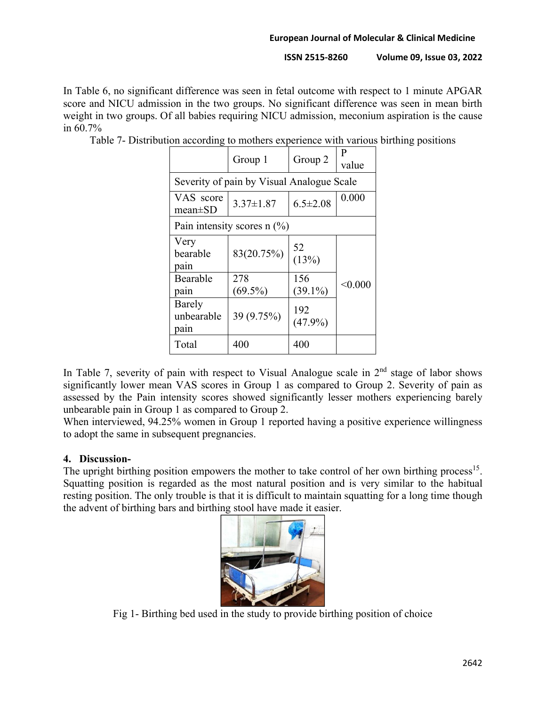**ISSN 2515-8260 Volume 09, Issue 03, 2022**

In Table 6, no significant difference was seen in fetal outcome with respect to 1 minute APGAR score and NICU admission in the two groups. No significant difference was seen in mean birth weight in two groups. Of all babies requiring NICU admission, meconium aspiration is the cause in 60.7%

|                              | Group 1                                   | Group 2           | P<br>value |
|------------------------------|-------------------------------------------|-------------------|------------|
|                              | Severity of pain by Visual Analogue Scale |                   |            |
| VAS score<br>mean $\pm$ SD   | $3.37 \pm 1.87$                           | $6.5 \pm 2.08$    | 0.000      |
|                              | Pain intensity scores $n$ (%)             |                   |            |
| Very<br>bearable<br>pain     | 83(20.75%)                                | 52<br>(13%)       |            |
| Bearable<br>pain             | 278<br>$(69.5\%)$                         | 156<br>$(39.1\%)$ | < 0.000    |
| Barely<br>unbearable<br>pain | 39 (9.75%)                                | 192<br>$(47.9\%)$ |            |
| Total                        | 400                                       | 400               |            |

Table 7- Distribution according to mothers experience with various birthing positions

In Table 7, severity of pain with respect to Visual Analogue scale in  $2<sup>nd</sup>$  stage of labor shows significantly lower mean VAS scores in Group 1 as compared to Group 2. Severity of pain as assessed by the Pain intensity scores showed significantly lesser mothers experiencing barely unbearable pain in Group 1 as compared to Group 2.

When interviewed, 94.25% women in Group 1 reported having a positive experience willingness to adopt the same in subsequent pregnancies.

# **4. Discussion-**

The upright birthing position empowers the mother to take control of her own birthing process<sup>15</sup>. Squatting position is regarded as the most natural position and is very similar to the habitual resting position. The only trouble is that it is difficult to maintain squatting for a long time though the advent of birthing bars and birthing stool have made it easier.



Fig 1- Birthing bed used in the study to provide birthing position of choice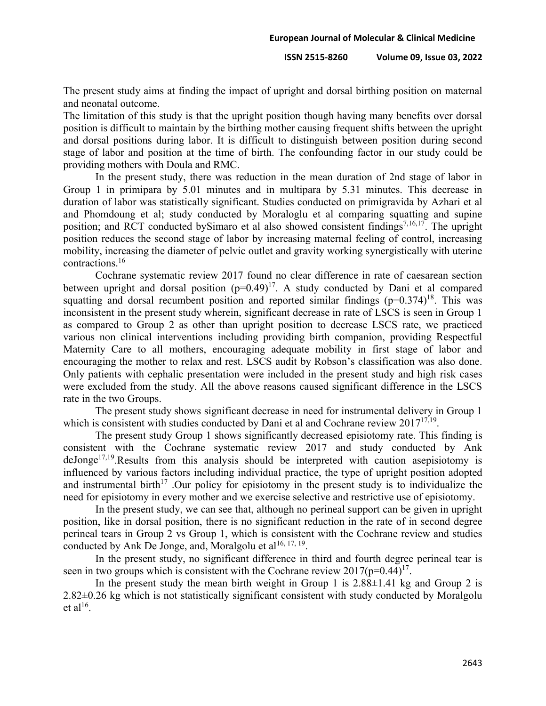**ISSN 2515-8260 Volume 09, Issue 03, 2022**

The present study aims at finding the impact of upright and dorsal birthing position on maternal and neonatal outcome.

The limitation of this study is that the upright position though having many benefits over dorsal position is difficult to maintain by the birthing mother causing frequent shifts between the upright and dorsal positions during labor. It is difficult to distinguish between position during second stage of labor and position at the time of birth. The confounding factor in our study could be providing mothers with Doula and RMC.

In the present study, there was reduction in the mean duration of 2nd stage of labor in Group 1 in primipara by 5.01 minutes and in multipara by 5.31 minutes. This decrease in duration of labor was statistically significant. Studies conducted on primigravida by Azhari et al and Phomdoung et al; study conducted by Moraloglu et al comparing squatting and supine position; and RCT conducted by Simaro et al also showed consistent findings<sup>7,16,17</sup>. The upright position reduces the second stage of labor by increasing maternal feeling of control, increasing mobility, increasing the diameter of pelvic outlet and gravity working synergistically with uterine contractions.16

Cochrane systematic review 2017 found no clear difference in rate of caesarean section between upright and dorsal position  $(p=0.49)^{17}$ . A study conducted by Dani et al compared squatting and dorsal recumbent position and reported similar findings  $(p=0.374)^{18}$ . This was inconsistent in the present study wherein, significant decrease in rate of LSCS is seen in Group 1 as compared to Group 2 as other than upright position to decrease LSCS rate, we practiced various non clinical interventions including providing birth companion, providing Respectful Maternity Care to all mothers, encouraging adequate mobility in first stage of labor and encouraging the mother to relax and rest. LSCS audit by Robson's classification was also done. Only patients with cephalic presentation were included in the present study and high risk cases were excluded from the study. All the above reasons caused significant difference in the LSCS rate in the two Groups.

The present study shows significant decrease in need for instrumental delivery in Group 1 which is consistent with studies conducted by Dani et al and Cochrane review  $2017^{17,19}$ .

The present study Group 1 shows significantly decreased episiotomy rate. This finding is consistent with the Cochrane systematic review 2017 and study conducted by Ank  $deJonge<sup>17,19</sup>$ . Results from this analysis should be interpreted with caution asepisiotomy is influenced by various factors including individual practice, the type of upright position adopted and instrumental birth<sup>17</sup>. Our policy for episiotomy in the present study is to individualize the need for episiotomy in every mother and we exercise selective and restrictive use of episiotomy.

In the present study, we can see that, although no perineal support can be given in upright position, like in dorsal position, there is no significant reduction in the rate of in second degree perineal tears in Group 2 vs Group 1, which is consistent with the Cochrane review and studies conducted by Ank De Jonge, and, Moralgolu et al<sup>16, 17, 19</sup>.

In the present study, no significant difference in third and fourth degree perineal tear is seen in two groups which is consistent with the Cochrane review  $2017(p=0.44)^{17}$ .

In the present study the mean birth weight in Group 1 is  $2.88 \pm 1.41$  kg and Group 2 is 2.82±0.26 kg which is not statistically significant consistent with study conducted by Moralgolu et al<sup>16</sup>.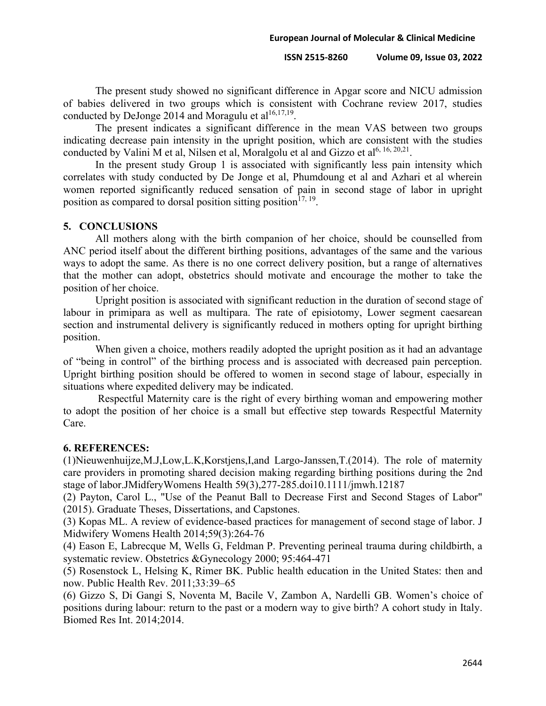#### **ISSN 2515-8260 Volume 09, Issue 03, 2022**

The present study showed no significant difference in Apgar score and NICU admission of babies delivered in two groups which is consistent with Cochrane review 2017, studies conducted by DeJonge 2014 and Moragulu et  $al^{16,17,19}$ .

The present indicates a significant difference in the mean VAS between two groups indicating decrease pain intensity in the upright position, which are consistent with the studies conducted by Valini M et al, Nilsen et al, Moralgolu et al and Gizzo et al<sup>6, 16, 20,21</sup>.

In the present study Group 1 is associated with significantly less pain intensity which correlates with study conducted by De Jonge et al, Phumdoung et al and Azhari et al wherein women reported significantly reduced sensation of pain in second stage of labor in upright position as compared to dorsal position sitting position<sup>17, 19</sup>.

#### **5. CONCLUSIONS**

All mothers along with the birth companion of her choice, should be counselled from ANC period itself about the different birthing positions, advantages of the same and the various ways to adopt the same. As there is no one correct delivery position, but a range of alternatives that the mother can adopt, obstetrics should motivate and encourage the mother to take the position of her choice.

Upright position is associated with significant reduction in the duration of second stage of labour in primipara as well as multipara. The rate of episiotomy, Lower segment caesarean section and instrumental delivery is significantly reduced in mothers opting for upright birthing position.

When given a choice, mothers readily adopted the upright position as it had an advantage of "being in control" of the birthing process and is associated with decreased pain perception. Upright birthing position should be offered to women in second stage of labour, especially in situations where expedited delivery may be indicated.

Respectful Maternity care is the right of every birthing woman and empowering mother to adopt the position of her choice is a small but effective step towards Respectful Maternity Care.

#### **6. REFERENCES:**

(1)Nieuwenhuijze,M.J,Low,L.K,Korstjens,I,and Largo-Janssen,T.(2014). The role of maternity care providers in promoting shared decision making regarding birthing positions during the 2nd stage of labor.JMidferyWomens Health 59(3),277-285.doi10.1111/jmwh.12187

(2) Payton, Carol L., "Use of the Peanut Ball to Decrease First and Second Stages of Labor" (2015). Graduate Theses, Dissertations, and Capstones.

(3) Kopas ML. A review of evidence-based practices for management of second stage of labor. J Midwifery Womens Health 2014;59(3):264-76

(4) Eason E, Labrecque M, Wells G, Feldman P. Preventing perineal trauma during childbirth, a systematic review. Obstetrics &Gynecology 2000; 95:464-471

(5) Rosenstock L, Helsing K, Rimer BK. Public health education in the United States: then and now. Public Health Rev. 2011;33:39–65

(6) Gizzo S, Di Gangi S, Noventa M, Bacile V, Zambon A, Nardelli GB. Women's choice of positions during labour: return to the past or a modern way to give birth? A cohort study in Italy. Biomed Res Int. 2014;2014.